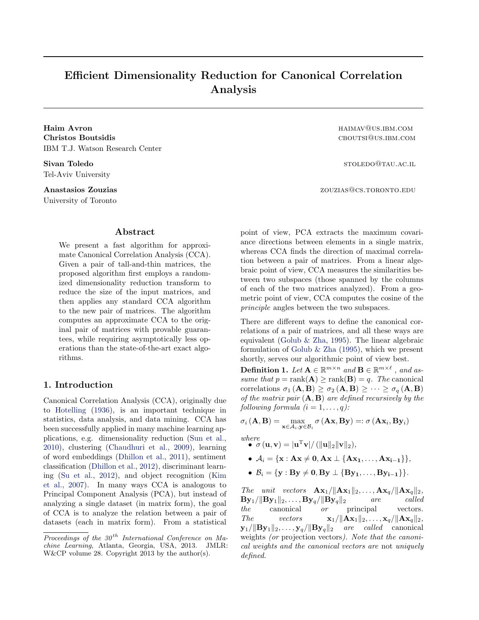# <span id="page-0-0"></span>Efficient Dimensionality Reduction for Canonical Correlation Analysis

Christos Boutsidis cboutsi@us.ibm.com IBM T.J. Watson Research Center

Sivan Toledo stoledo stoledo stoledo stoledo stoledo stoledo stoledo stoledo stoledo stoledo stoledo stoledo stoledo Tel-Aviv University

University of Toronto

# Abstract

We present a fast algorithm for approximate Canonical Correlation Analysis (CCA). Given a pair of tall-and-thin matrices, the proposed algorithm first employs a randomized dimensionality reduction transform to reduce the size of the input matrices, and then applies any standard CCA algorithm to the new pair of matrices. The algorithm computes an approximate CCA to the original pair of matrices with provable guarantees, while requiring asymptotically less operations than the state-of-the-art exact algorithms.

# 1. Introduction

Canonical Correlation Analysis (CCA), originally due to [Hotelling](#page-8-0) [\(1936\)](#page-8-0), is an important technique in statistics, data analysis, and data mining. CCA has been successfully applied in many machine learning applications, e.g. dimensionality reduction [\(Sun et al.,](#page-8-0) [2010\)](#page-8-0), clustering [\(Chaudhuri et al.,](#page-8-0) [2009\)](#page-8-0), learning of word embeddings [\(Dhillon et al.,](#page-8-0) [2011\)](#page-8-0), sentiment classification [\(Dhillon et al.,](#page-8-0) [2012\)](#page-8-0), discriminant learning [\(Su et al.,](#page-8-0) [2012\)](#page-8-0), and object recognition [\(Kim](#page-8-0) [et al.,](#page-8-0) [2007\)](#page-8-0). In many ways CCA is analogous to Principal Component Analysis (PCA), but instead of analyzing a single dataset (in matrix form), the goal of CCA is to analyze the relation between a pair of datasets (each in matrix form). From a statistical

Haim Avron **haimavaille and the set of the set of the set of the set of the set of the set of the set of the set of the set of the set of the set of the set of the set of the set of the set of the set of the set of the set** 

Anastasios Zouzias **zouzias** zouzias zouzias zouzias zouzias zouzias zouzias zouzias zouzias zouzias zouzias zouzias zouzias zouzias zouzias zouzias zouzias zouzias zouzias zouzias zouzias zouzias zouzias zouzias zouzias z

point of view, PCA extracts the maximum covariance directions between elements in a single matrix, whereas CCA finds the direction of maximal correlation between a pair of matrices. From a linear algebraic point of view, CCA measures the similarities between two subspaces (those spanned by the columns of each of the two matrices analyzed). From a geometric point of view, CCA computes the cosine of the principle angles between the two subspaces.

There are different ways to define the canonical correlations of a pair of matrices, and all these ways are equivalent [\(Golub & Zha,](#page-8-0) [1995\)](#page-8-0). The linear algebraic formulation of [Golub & Zha](#page-8-0) [\(1995\)](#page-8-0), which we present shortly, serves our algorithmic point of view best.

**Definition 1.** Let  $\mathbf{A} \in \mathbb{R}^{m \times n}$  and  $\mathbf{B} \in \mathbb{R}^{m \times \ell}$ , and assume that  $p = \text{rank}(\mathbf{A}) \ge \text{rank}(\mathbf{B}) = q$ . The canonical correlations  $\sigma_1 (\mathbf{A}, \mathbf{B}) \geq \sigma_2 (\mathbf{A}, \mathbf{B}) \geq \cdots \geq \sigma_q (\mathbf{A}, \mathbf{B})$ of the matrix pair  $(A, B)$  are defined recursively by the following formula  $(i = 1, \ldots, q)$ :

 $\sigma_i\left(\mathbf{A},\mathbf{B}\right) = \max_{\mathbf{x} \in \mathcal{A}_i,\mathbf{y} \in \mathcal{B}_i} \sigma\left(\mathbf{A}\mathbf{x},\mathbf{B}\mathbf{y}\right) =: \sigma\left(\mathbf{A}\mathbf{x}_i,\mathbf{B}\mathbf{y}_i\right)$ 

where  
\n• 
$$
\sigma(\mathbf{u}, \mathbf{v}) = |\mathbf{u}^T \mathbf{v}| / (||\mathbf{u}||_2 ||\mathbf{v}||_2),
$$

- $A_i = \{x : Ax \neq 0, Ax \perp \{Ax_1, \ldots, Ax_{i-1}\}\},\$
- $B_i = \{y : By \neq 0, By \perp \{By_1, \ldots, By_{i-1}\}\}.$

The unit vectors  $\mathbf{A}\mathbf{x}_1/\|\mathbf{A}\mathbf{x}_1\|_2,\ldots,\mathbf{A}\mathbf{x}_q/\|\mathbf{A}\mathbf{x}_q\|_2$ ,  $\mathbf{By}_1/\|\mathbf{By}_1\|_2,\ldots,\mathbf{By}_q/\|\mathbf{By}_q\|_2$  are called the canonical or principal vectors. The vectors  $\mathbf{x}_1/\|\mathbf{A}\mathbf{x}_1\|_2, \ldots, \mathbf{x}_q/\|\mathbf{A}\mathbf{x}_q\|_2$ ,  $\mathbf{y}_1/\|\mathbf{B}\mathbf{y}_1\|_2,\ldots,\mathbf{y}_q/\|\mathbf{B}\mathbf{y}_q\|_2$  are called canonical weights (or projection vectors). Note that the canonical weights and the canonical vectors are not uniquely defined.

Proceedings of the  $30<sup>th</sup>$  International Conference on Machine Learning, Atlanta, Georgia, USA, 2013. JMLR: W&CP volume 28. Copyright 2013 by the author(s).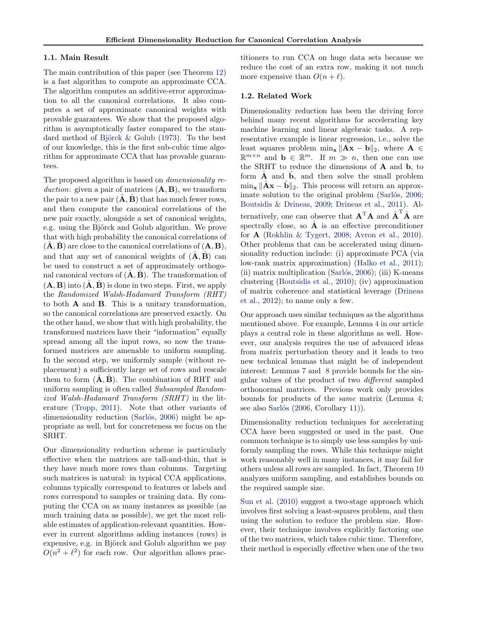### 1.1. Main Result

The main contribution of this paper (see Theorem [12\)](#page-5-0) is a fast algorithm to compute an approximate CCA. The algorithm computes an additive-error approximation to all the canonical correlations. It also computes a set of approximate canonical weights with provable guarantees. We show that the proposed algorithm is asymptotically faster compared to the standard method of Björck  $\&$  Golub [\(1973\)](#page-8-0). To the best of our knowledge, this is the first sub-cubic time algorithm for approximate CCA that has provable guarantees.

The proposed algorithm is based on dimensionality reduction: given a pair of matrices  $(A, B)$ , we transform the pair to a new pair  $(\overline{A}, \overline{B})$  that has much fewer rows, and then compute the canonical correlations of the new pair exactly, alongside a set of canonical weights, e.g. using the Björck and Golub algorithm. We prove that with high probability the canonical correlations of  $(\ddot{A}, \ddot{B})$  are close to the canonical correlations of  $(A, B)$ , and that any set of canonical weights of  $(\mathbf{A}, \mathbf{B})$  can be used to construct a set of approximately orthogonal canonical vectors of  $(\tilde{A}, \tilde{B})$ . The transformation of  $(\mathbf{A}, \mathbf{B})$  into  $(\hat{\mathbf{A}}, \hat{\mathbf{B}})$  is done in two steps. First, we apply the Randomized Walsh-Hadamard Transform (RHT) to both A and B. This is a unitary transformation, so the canonical correlations are preserved exactly. On the other hand, we show that with high probability, the transformed matrices have their "information" equally spread among all the input rows, so now the transformed matrices are amenable to uniform sampling. In the second step, we uniformly sample (without replacement) a sufficiently large set of rows and rescale them to form  $(\mathbf{A}, \mathbf{B})$ . The combination of RHT and uniform sampling is often called Subsampled Randomized Walsh-Hadamard Transform (SRHT) in the literature [\(Tropp,](#page-8-0) [2011\)](#page-8-0). Note that other variants of dimensionality reduction (Sarlós, [2006\)](#page-8-0) might be appropriate as well, but for concreteness we focus on the SRHT.

Our dimensionality reduction scheme is particularly effective when the matrices are tall-and-thin, that is they have much more rows than columns. Targeting such matrices is natural: in typical CCA applications, columns typically correspond to features or labels and rows correspond to samples or training data. By computing the CCA on as many instances as possible (as much training data as possible), we get the most reliable estimates of application-relevant quantities. However in current algorithms adding instances (rows) is expensive, e.g. in Björck and Golub algorithm we pay  $O(n^2 + \ell^2)$  for each row. Our algorithm allows practitioners to run CCA on huge data sets because we reduce the cost of an extra row, making it not much more expensive than  $O(n + \ell)$ .

### 1.2. Related Work

Dimensionality reduction has been the driving force behind many recent algorithms for accelerating key machine learning and linear algebraic tasks. A representative example is linear regression, i.e., solve the least squares problem  $\min_{\mathbf{x}} ||\mathbf{A}\mathbf{x} - \mathbf{b}||_2$ , where  $\mathbf{A} \in$  $\mathbb{R}^{m \times n}$  and  $\mathbf{b} \in \mathbb{R}^m$ . If  $m \gg n$ , then one can use the SRHT to reduce the dimensions of A and b, to form  $\hat{A}$  and  $\hat{b}$ , and then solve the small problem  $\min_{\mathbf{x}} ||\hat{\mathbf{A}}\mathbf{x} - \hat{\mathbf{b}}||_2$ . This process will return an approx-imate solution to the original problem (Sarlós, [2006;](#page-8-0) [Boutsidis & Drineas,](#page-8-0) [2009;](#page-8-0) [Drineas et al.,](#page-8-0) [2011\)](#page-8-0). Alternatively, one can observe that  $\mathbf{A}^{\mathrm{T}}\mathbf{A}$  and  $\hat{\mathbf{A}}^{\mathrm{T}}\hat{\mathbf{A}}$  are spectrally close, so  $\hat{A}$  is an effective preconditioner for  $\bf{A}$  [\(Rokhlin & Tygert,](#page-8-0) [2008;](#page-8-0) [Avron et al.,](#page-8-0) [2010\)](#page-8-0). Other problems that can be accelerated using dimensionality reduction include: (i) approximate PCA (via low-rank matrix approximation) [\(Halko et al.,](#page-8-0) [2011\)](#page-8-0); (ii) matrix multiplication (Sarlós, [2006\)](#page-8-0); (iii) K-means clustering [\(Boutsidis et al.,](#page-8-0) [2010\)](#page-8-0); (iv) approximation of matrix coherence and statistical leverage [\(Drineas](#page-8-0) [et al.,](#page-8-0) [2012\)](#page-8-0); to name only a few.

Our approach uses similar techniques as the algorithms mentioned above. For example, Lemma [4](#page-2-0) in our article plays a central role in these algorithms as well. However, our analysis requires the use of advanced ideas from matrix perturbation theory and it leads to two new technical lemmas that might be of independent interest: Lemmas [7](#page-3-0) and [8](#page-3-0) provide bounds for the singular values of the product of two different sampled orthonormal matrices. Previous work only provides bounds for products of the same matrix (Lemma [4;](#page-2-0) see also Sarlós [\(2006,](#page-8-0) Corollary 11)).

Dimensionality reduction techniques for accelerating CCA have been suggested or used in the past. One common technique is to simply use less samples by uniformly sampling the rows. While this technique might work reasonably well in many instances, it may fail for others unless all rows are sampled. In fact, Theorem [10](#page-3-0) analyzes uniform sampling, and establishes bounds on the required sample size.

[Sun et al.](#page-8-0) [\(2010\)](#page-8-0) suggest a two-stage approach which involves first solving a least-squares problem, and then using the solution to reduce the problem size. However, their technique involves explicitly factoring one of the two matrices, which takes cubic time. Therefore, their method is especially effective when one of the two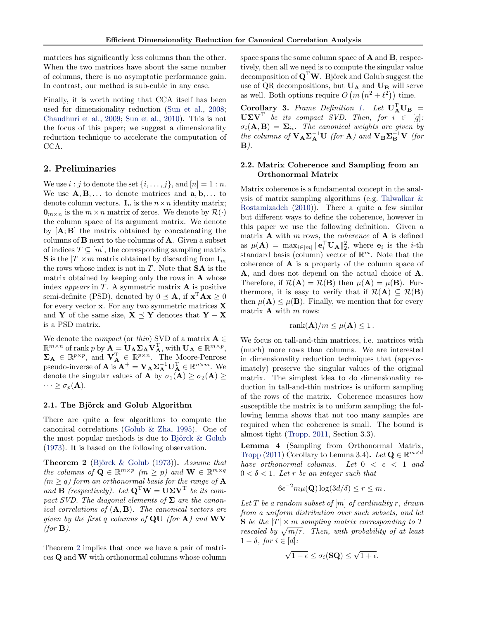<span id="page-2-0"></span>matrices has significantly less columns than the other. When the two matrices have about the same number of columns, there is no asymptotic performance gain. In contrast, our method is sub-cubic in any case.

Finally, it is worth noting that CCA itself has been used for dimensionality reduction [\(Sun et al.,](#page-8-0) [2008;](#page-8-0) [Chaudhuri et al.,](#page-8-0) [2009;](#page-8-0) [Sun et al.,](#page-8-0) [2010\)](#page-8-0). This is not the focus of this paper; we suggest a dimensionality reduction technique to accelerate the computation of CCA.

# 2. Preliminaries

We use  $i : j$  to denote the set  $\{i, \ldots, j\}$ , and  $[n] = 1 : n$ . We use  $\mathbf{A}, \mathbf{B}, \dots$  to denote matrices and  $\mathbf{a}, \mathbf{b}, \dots$  to denote column vectors.  $I_n$  is the  $n \times n$  identity matrix;  $\mathbf{0}_{m \times n}$  is the  $m \times n$  matrix of zeros. We denote by  $\mathcal{R}(\cdot)$ the column space of its argument matrix. We denote by  $[A; B]$  the matrix obtained by concatenating the columns of B next to the columns of A. Given a subset of indices  $T \subseteq [m]$ , the corresponding sampling matrix **S** is the  $|T| \times m$  matrix obtained by discarding from  $\mathbf{I}_m$ the rows whose index is not in  $T$ . Note that  $SA$  is the matrix obtained by keeping only the rows in  $\bf{A}$  whose index *appears* in  $T$ . A symmetric matrix  $\bf{A}$  is positive semi-definite (PSD), denoted by  $0 \leq \mathbf{A}$ , if  $\mathbf{x}^T \mathbf{A} \mathbf{x} \geq 0$ for every vector  $x$ . For any two symmetric matrices  $X$ and Y of the same size,  $X \prec Y$  denotes that  $Y - X$ is a PSD matrix.

We denote the *compact* (or thin) SVD of a matrix  $A \in$  $\mathbb{R}^{m \times n}$  of rank p by  $\mathbf{A} = \mathbf{U}_{\mathbf{A}} \mathbf{\Sigma}_{\mathbf{A}} \mathbf{V}_{\mathbf{A}}^{\mathrm{T}}$ , with  $\mathbf{U}_{\mathbf{A}} \in \mathbb{R}^{m \times p}$ ,  $\Sigma_{\mathbf{A}} \in \mathbb{R}^{p \times p}$ , and  $\mathbf{V}_{\mathbf{A}}^{\mathrm{T}} \in \mathbb{R}^{p \times n}$ . The Moore-Penrose pseudo-inverse of **A** is  $\mathbf{A}^+ = \mathbf{V}_{\mathbf{A}} \Sigma_{\mathbf{A}}^{-1} \mathbf{U}_{\mathbf{A}}^{\mathrm{T}} \in \mathbb{R}^{n \times m}$ . We denote the singular values of **A** by  $\sigma_1(\mathbf{A}) \geq \sigma_2(\mathbf{A}) \geq$  $\cdots \geq \sigma_p(\mathbf{A}).$ 

## 2.1. The Björck and Golub Algorithm

There are quite a few algorithms to compute the canonical correlations [\(Golub & Zha,](#page-8-0) [1995\)](#page-8-0). One of the most popular methods is due to Björck  $&$  Golub [\(1973\)](#page-8-0). It is based on the following observation.

**Theorem 2** (Björck  $\&$  Golub [\(1973\)](#page-8-0)). Assume that the columns of  $\mathbf{Q} \in \mathbb{R}^{m \times p}$  ( $m \geq p$ ) and  $\mathbf{W} \in \mathbb{R}^{m \times q}$  $(m > q)$  form an orthonormal basis for the range of **A** and  $\mathbf{B}$  (respectively). Let  $\mathbf{Q}^{\mathrm{T}}\mathbf{W} = \mathbf{U}\mathbf{\Sigma}\mathbf{V}^{\mathrm{T}}$  be its compact SVD. The diagonal elements of  $\Sigma$  are the canonical correlations of  $(A, B)$ . The canonical vectors are given by the first q columns of  $QU$  (for  $A$ ) and  $WV$  $(for \mathbf{B}).$ 

Theorem 2 implies that once we have a pair of matrices Q and W with orthonormal columns whose column space spans the same column space of A and B, respectively, then all we need is to compute the singular value decomposition of  $\mathbf{Q}^{\mathrm{T}}\mathbf{W}$ . Björck and Golub suggest the use of QR decompositions, but  $\mathbf{U}_{\mathbf{A}}$  and  $\mathbf{U}_{\mathbf{B}}$  will serve as well. Both options require  $O(m(n^2 + \ell^2))$  time.

Corollary 3. Frame Definition [1.](#page-0-0) Let  $U_A^T U_B =$  $U\Sigma V^{T}$  be its compact SVD. Then, for  $i \in [q]$ :  $\sigma_i(\mathbf{A}, \mathbf{B}) = \Sigma_{ii}$ . The canonical weights are given by the columns of  $V_A \Sigma_A^{-1} U$  (for A) and  $V_B \Sigma_B^{-1} V$  (for  $\mathbf{B}$ ).

# 2.2. Matrix Coherence and Sampling from an Orthonormal Matrix

Matrix coherence is a fundamental concept in the analysis of matrix sampling algorithms (e.g. [Talwalkar &](#page-8-0) [Rostamizadeh](#page-8-0) [\(2010\)](#page-8-0)). There a quite a few similar but different ways to define the coherence, however in this paper we use the following definition. Given a matrix  $\bf{A}$  with m rows, the *coherence* of  $\bf{A}$  is defined as  $\mu(\mathbf{A}) = \max_{i \in [m]} \| \mathbf{e}_i^{\top} \mathbf{U}_{\mathbf{A}} \|_2^2$ , where  $\mathbf{e}_i$  is the *i*-th standard basis (column) vector of  $\mathbb{R}^m$ . Note that the coherence of  $\bf{A}$  is a property of the column space of A, and does not depend on the actual choice of A. Therefore, if  $\mathcal{R}(\mathbf{A}) = \mathcal{R}(\mathbf{B})$  then  $\mu(\mathbf{A}) = \mu(\mathbf{B})$ . Furthermore, it is easy to verify that if  $\mathcal{R}(\mathbf{A}) \subseteq \mathcal{R}(\mathbf{B})$ then  $\mu(\mathbf{A}) \leq \mu(\mathbf{B})$ . Finally, we mention that for every matrix  $A$  with  $m$  rows:

$$
rank(\mathbf{A})/m \leq \mu(\mathbf{A}) \leq 1.
$$

We focus on tall-and-thin matrices, i.e. matrices with (much) more rows than columns. We are interested in dimensionality reduction techniques that (approximately) preserve the singular values of the original matrix. The simplest idea to do dimensionality reduction in tall-and-thin matrices is uniform sampling of the rows of the matrix. Coherence measures how susceptible the matrix is to uniform sampling; the following lemma shows that not too many samples are required when the coherence is small. The bound is almost tight [\(Tropp,](#page-8-0) [2011,](#page-8-0) Section 3.3).

Lemma 4 (Sampling from Orthonormal Matrix, [Tropp](#page-8-0) [\(2011\)](#page-8-0) Corollary to Lemma 3.4). Let  $\mathbf{Q} \in \mathbb{R}^{m \times d}$ have orthonormal columns. Let  $0 < \epsilon < 1$  and  $0 < \delta < 1$ . Let r be an integer such that

$$
6\epsilon^{-2}m\mu(\mathbf{Q})\log(3d/\delta) \le r \le m.
$$

Let T be a random subset of  $[m]$  of cardinality r, drawn from a uniform distribution over such subsets, and let **S** be the  $|T| \times m$  sampling matrix corresponding to T rescaled by  $\sqrt{m/r}$ . Then, with probability of at least  $1 - \delta$ , for  $i \in [d]$ :

$$
\sqrt{1-\epsilon} \leq \sigma_i(\mathbf{SQ}) \leq \sqrt{1+\epsilon}.
$$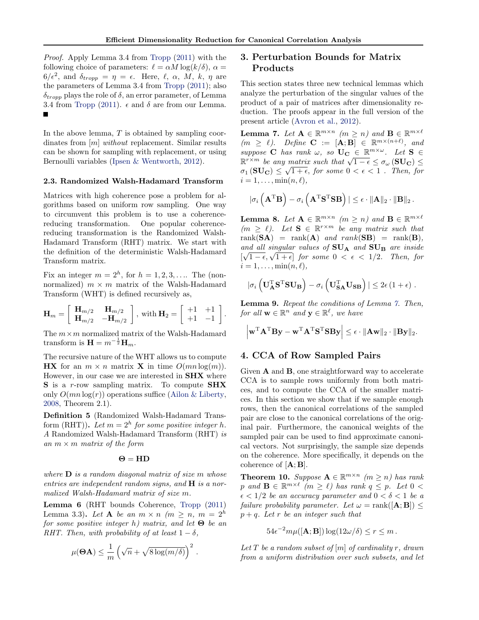.

<span id="page-3-0"></span>Proof. Apply Lemma 3.4 from [Tropp](#page-8-0) [\(2011\)](#page-8-0) with the following choice of parameters:  $\ell = \alpha M \log(k/\delta)$ ,  $\alpha =$  $6/\epsilon^2$ , and  $\delta_{tropp} = \eta = \epsilon$ . Here,  $\ell$ ,  $\alpha$ , M, k,  $\eta$  are the parameters of Lemma 3.4 from [Tropp](#page-8-0) [\(2011\)](#page-8-0); also  $\delta_{trom}$  plays the role of  $\delta$ , an error parameter, of Lemma 3.4 from [Tropp](#page-8-0) [\(2011\)](#page-8-0).  $\epsilon$  and  $\delta$  are from our Lemma. П

In the above lemma,  $T$  is obtained by sampling coordinates from [m] without replacement. Similar results can be shown for sampling with replacement, or using Bernoulli variables [\(Ipsen & Wentworth,](#page-8-0) [2012\)](#page-8-0).

### 2.3. Randomized Walsh-Hadamard Transform

Matrices with high coherence pose a problem for algorithms based on uniform row sampling. One way to circumvent this problem is to use a coherencereducing transformation. One popular coherencereducing transformation is the Randomized Walsh-Hadamard Transform (RHT) matrix. We start with the definition of the deterministic Walsh-Hadamard Transform matrix.

Fix an integer  $m = 2<sup>h</sup>$ , for  $h = 1, 2, 3, \ldots$  The (nonnormalized)  $m \times m$  matrix of the Walsh-Hadamard Transform (WHT) is defined recursively as,

$$
\mathbf{H}_m = \left[ \begin{array}{cc} \mathbf{H}_{m/2} & \mathbf{H}_{m/2} \\ \mathbf{H}_{m/2} & -\mathbf{H}_{m/2} \end{array} \right], \text{ with } \mathbf{H}_2 = \left[ \begin{array}{cc} +1 & +1 \\ +1 & -1 \end{array} \right]
$$

The  $m \times m$  normalized matrix of the Walsh-Hadamard transform is  $\mathbf{H} = m^{-\frac{1}{2}} \mathbf{H}_m$ .

The recursive nature of the WHT allows us to compute **HX** for an  $m \times n$  matrix **X** in time  $O(mn \log(m))$ . However, in our case we are interested in **SHX** where S is a r-row sampling matrix. To compute SHX only  $O(mn \log(r))$  operations suffice [\(Ailon & Liberty,](#page-8-0) [2008,](#page-8-0) Theorem 2.1).

Definition 5 (Randomized Walsh-Hadamard Transform (RHT)). Let  $m = 2<sup>h</sup>$  for some positive integer h. A Randomized Walsh-Hadamard Transform (RHT) is an  $m \times m$  matrix of the form

#### $\Theta = HD$

where  $\bf{D}$  is a random diagonal matrix of size m whose entries are independent random signs, and  $H$  is a normalized Walsh-Hadamard matrix of size m.

Lemma 6 (RHT bounds Coherence, [Tropp](#page-8-0) [\(2011\)](#page-8-0) Lemma 3.3). Let **A** be an  $m \times n$  ( $m > n$ ,  $m = 2<sup>h</sup>$ ) for some positive integer h) matrix, and let  $\Theta$  be an RHT. Then, with probability of at least  $1 - \delta$ ,

$$
\mu(\mathbf{\Theta}\mathbf{A}) \leq \frac{1}{m} \left( \sqrt{n} + \sqrt{8 \log(m/\delta)} \right)^2.
$$

# 3. Perturbation Bounds for Matrix Products

This section states three new technical lemmas which analyze the perturbation of the singular values of the product of a pair of matrices after dimensionality reduction. The proofs appear in the full version of the present article [\(Avron et al.,](#page-8-0) [2012\)](#page-8-0).

**Lemma 7.** Let  $A \in \mathbb{R}^{m \times n}$  ( $m \geq n$ ) and  $B \in \mathbb{R}^{m \times \ell}$  $(m \geq \ell)$ . Define  $\mathbf{C} := [\mathbf{A}; \mathbf{B}] \in \mathbb{R}^{m \times (n+\ell)}$ , and suppose **C** has rank  $\omega$ , so  $\mathbf{U_C} \in \mathbb{R}^{m \times \omega}$ . Let  $\mathbf{S} \in$ suppose  $\mathbf{C}$  has rank  $\omega$ , so  $\mathbf{C} \in \mathbb{R}^m$ . Let  $\mathbf{S} \in \mathbb{R}^{r \times m}$  be any matrix such that  $\sqrt{1-\epsilon} \leq \sigma_{\omega} (\mathbf{SU_C}) \leq \sigma_{\omega} (\mathbf{SU_C})$  $\sigma_1\left(\mathbf{SU}_\mathbf{C}\right)\leq \sqrt{1+\epsilon},$  for some  $0<\epsilon<1$  . Then, for  $i = 1, \ldots, \min(n, \ell),$ 

$$
|\sigma_i\left(\mathbf{A}^{\rm T}\mathbf{B}\right) - \sigma_i\left(\mathbf{A}^{\rm T}\mathbf{S}^{\rm T}\mathbf{S}\mathbf{B}\right)| \leq \epsilon \cdot \|\mathbf{A}\|_2 \cdot \|\mathbf{B}\|_2\,.
$$

**Lemma 8.** Let  $A \in \mathbb{R}^{m \times n}$  ( $m \geq n$ ) and  $B \in \mathbb{R}^{m \times \ell}$  $(m \geq \ell)$ . Let  $S \in \mathbb{R}^{r \times m}$  be any matrix such that rank $(SA)$  = rank $(A)$  and rank $(SB)$  = rank $(B)$ , and all singular values of  $SU_A$  and  $SU_B$  are inside and all singular values of  $SO_A$  and  $SO_B$  are inside<br> $[\sqrt{1-\epsilon}, \sqrt{1+\epsilon}]$  for some  $0 < \epsilon < 1/2$ . Then, for  $i = 1, \ldots, \min(n, \ell),$ 

$$
|\sigma_i \left( \mathbf{U}_{\mathbf{A}}^{\mathrm{T}} \mathbf{S}^{\mathrm{T}} \mathbf{S} \mathbf{U}_{\mathbf{B}} \right) - \sigma_i \left( \mathbf{U}_{\mathbf{S} \mathbf{A}}^{\mathrm{T}} \mathbf{U}_{\mathbf{S} \mathbf{B}} \right)| \leq 2\epsilon \left( 1 + \epsilon \right) .
$$

Lemma 9. Repeat the conditions of Lemma 7. Then, for all  $\mathbf{w} \in \mathbb{R}^n$  and  $\mathbf{y} \in \mathbb{R}^{\ell}$ , we have

$$
\left|\mathbf{w}^{\mathrm{T}}\mathbf{A}^{\mathrm{T}}\mathbf{B}\mathbf{y}-\mathbf{w}^{\mathrm{T}}\mathbf{A}^{\mathrm{T}}\mathbf{S}^{\mathrm{T}}\mathbf{S}\mathbf{B}\mathbf{y}\right| \leq \epsilon \cdot \|\mathbf{A}\mathbf{w}\|_2 \cdot \|\mathbf{B}\mathbf{y}\|_2.
$$

# 4. CCA of Row Sampled Pairs

Given A and B, one straightforward way to accelerate CCA is to sample rows uniformly from both matrices, and to compute the CCA of the smaller matrices. In this section we show that if we sample enough rows, then the canonical correlations of the sampled pair are close to the canonical correlations of the original pair. Furthermore, the canonical weights of the sampled pair can be used to find approximate canonical vectors. Not surprisingly, the sample size depends on the coherence. More specifically, it depends on the coherence of  $[\mathbf{A}; \mathbf{B}]$ .

**Theorem 10.** Suppose  $A \in \mathbb{R}^{m \times n}$  ( $m \ge n$ ) has rank p and  $\mathbf{B} \in \mathbb{R}^{m \times \ell}$  (m  $\geq \ell$ ) has rank  $q \leq p$ . Let  $0 <$  $\epsilon < 1/2$  be an accuracy parameter and  $0 < \delta < 1$  be a failure probability parameter. Let  $\omega = \text{rank}([\mathbf{A}; \mathbf{B}]) \leq$  $p + q$ . Let r be an integer such that

$$
54\epsilon^{-2}m\mu([\mathbf{A};\mathbf{B}])\log(12\omega/\delta) \le r \le m.
$$

Let T be a random subset of  $[m]$  of cardinality r, drawn from a uniform distribution over such subsets, and let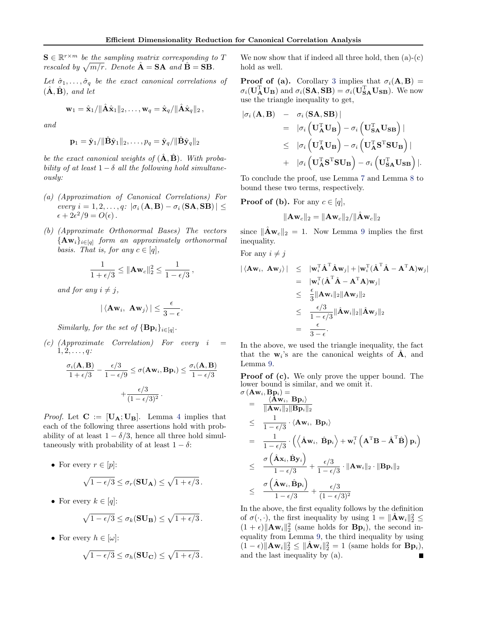$S \in \mathbb{R}^{r \times m}$  be the sampling matrix corresponding to T rescaled by  $\sqrt{m/r}$ . Denote  $\hat{A} = SA$  and  $\hat{B} = SB$ .

Let  $\hat{\sigma}_1, \ldots, \hat{\sigma}_q$  be the exact canonical correlations of  $(\mathbf{\hat{A}}, \mathbf{\hat{B}})$ , and let

$$
\mathbf{w}_1 = \hat{\mathbf{x}}_1/\|\hat{\mathbf{A}}\hat{\mathbf{x}}_1\|_2,\ldots,\mathbf{w}_q = \hat{\mathbf{x}}_q/\|\hat{\mathbf{A}}\hat{\mathbf{x}}_q\|_2\,,
$$

and

$$
\mathbf{p}_1 = \hat{\mathbf{y}}_1/\|\hat{\mathbf{B}}\hat{\mathbf{y}}_1\|_2,\ldots,p_q = \hat{\mathbf{y}}_q/\|\hat{\mathbf{B}}\hat{\mathbf{y}}_q\|_2
$$

be the exact canonical weights of  $(\hat{\mathbf{A}}, \hat{\mathbf{B}})$ . With probability of at least  $1 - \delta$  all the following hold simultaneously:

- (a) (Approximation of Canonical Correlations) For every  $i = 1, 2, \ldots, q: |\sigma_i(A, B) - \sigma_i(SA, SB)| \leq$  $\epsilon + 2\epsilon^2/9 = O(\epsilon)$ .
- (b) (Approximate Orthonormal Bases) The vectors  ${ {\bf A w}_i }_{i \in [q]}$  form an approximately orthonormal basis. That is, for any  $c \in [q]$ ,

$$
\frac{1}{1+\epsilon/3} \leq \|\mathbf{A}\mathbf{w}_c\|_2^2 \leq \frac{1}{1-\epsilon/3},
$$

and for any  $i \neq j$ ,

$$
|\langle \mathbf{A} \mathbf{w}_i, \ \mathbf{A} \mathbf{w}_j \rangle| \leq \frac{\epsilon}{3 - \epsilon}.
$$

Similarly, for the set of  $\{Bp_i\}_{i \in [q]}$ .

 $(c)$  (Approximate Correlation) For every i  $1, 2, \ldots, q$ :

$$
\frac{\sigma_i(\mathbf{A}, \mathbf{B})}{1 + \epsilon/3} - \frac{\epsilon/3}{1 - \epsilon/9} \le \sigma(\mathbf{A}\mathbf{w}_i, \mathbf{B}\mathbf{p}_i) \le \frac{\sigma_i(\mathbf{A}, \mathbf{B})}{1 - \epsilon/3} + \frac{\epsilon/3}{(1 - \epsilon/3)^2}.
$$

*Proof.* Let  $C := [U_A; U_B]$ . Lemma [4](#page-2-0) implies that each of the following three assertions hold with probability of at least  $1 - \delta/3$ , hence all three hold simultaneously with probability of at least  $1 - \delta$ :

- For every  $r \in [p]$ :  $\sqrt{1-\epsilon/3} \leq \sigma_r(\mathbf{SU}_\mathbf{A}) \leq \sqrt{1+\epsilon/3}$ .
- For every  $k \in [q]$ :

$$
\sqrt{1-\epsilon/3} \leq \sigma_k(\mathbf{SU_B}) \leq \sqrt{1+\epsilon/3}.
$$

• For every  $h \in [\omega]$ :

$$
\sqrt{1-\epsilon/3}\leq \sigma_h(\mathbf{SU_C})\leq \sqrt{1+\epsilon/3}\,.
$$

We now show that if indeed all three hold, then  $(a)-(c)$ hold as well.

**Proof of (a).** Corollary [3](#page-2-0) implies that  $\sigma_i(\mathbf{A}, \mathbf{B}) =$  $\sigma_i(\mathbf{U}_{\mathbf{A}}^{\mathrm{T}}\mathbf{U}_{\mathbf{B}})$  and  $\sigma_i(\mathbf{S}\mathbf{A}, \mathbf{S}_{\mathbf{B}}^{\mathbf{B}}) = \sigma_i(\mathbf{U}_{\mathbf{S}\mathbf{A}}^{\mathrm{T}}\mathbf{U}_{\mathbf{S}\mathbf{B}})$ . We now use the triangle inequality to get,

$$
\begin{array}{rcl}\n|\sigma_{i}(\mathbf{A},\mathbf{B}) & - & \sigma_{i}(\mathbf{S}\mathbf{A},\mathbf{S}\mathbf{B})| \\
& = & |\sigma_{i}(\mathbf{U}_{\mathbf{A}}^{T}\mathbf{U}_{\mathbf{B}}) - \sigma_{i}(\mathbf{U}_{\mathbf{S}\mathbf{A}}^{T}\mathbf{U}_{\mathbf{S}\mathbf{B}})| \\
& \leq & |\sigma_{i}(\mathbf{U}_{\mathbf{A}}^{T}\mathbf{U}_{\mathbf{B}}) - \sigma_{i}(\mathbf{U}_{\mathbf{A}}^{T}\mathbf{S}^{T}\mathbf{S}\mathbf{U}_{\mathbf{B}})| \\
& & + & |\sigma_{i}(\mathbf{U}_{\mathbf{A}}^{T}\mathbf{S}^{T}\mathbf{S}\mathbf{U}_{\mathbf{B}}) - \sigma_{i}(\mathbf{U}_{\mathbf{S}\mathbf{A}}^{T}\mathbf{U}_{\mathbf{S}\mathbf{B}})|.\n\end{array}
$$

To conclude the proof, use Lemma [7](#page-3-0) and Lemma [8](#page-3-0) to bound these two terms, respectively.

**Proof of (b).** For any  $c \in [q]$ ,

$$
\Vert \mathbf{A} \mathbf{w}_c \Vert_2 = \Vert \mathbf{A} \mathbf{w}_c \Vert_2 / \Vert \hat{\mathbf{A}} \mathbf{w}_c \Vert_2
$$

since  $\|\hat{\mathbf{A}}\mathbf{w}_c\|_2 = 1$ . Now Lemma [9](#page-3-0) implies the first inequality.

For any  $i \neq j$ 

$$
\begin{array}{rcl} \vert \langle \mathbf{A} \mathbf{w}_{i}, \; \mathbf{A} \mathbf{w}_{j} \rangle \vert & \leq & \vert \mathbf{w}_{i}^{\mathrm{T}} \hat{\mathbf{A}}^{\mathrm{T}} \hat{\mathbf{A}} \mathbf{w}_{j} \vert + \vert \mathbf{w}_{i}^{\mathrm{T}} (\hat{\mathbf{A}}^{\mathrm{T}} \hat{\mathbf{A}} - \mathbf{A}^{\mathrm{T}} \mathbf{A}) \mathbf{w}_{j} \vert \\ & = & \vert \mathbf{w}_{i}^{\mathrm{T}} (\hat{\mathbf{A}}^{\mathrm{T}} \hat{\mathbf{A}} - \mathbf{A}^{\mathrm{T}} \mathbf{A}) \mathbf{w}_{j} \vert \\ & \leq & \frac{\epsilon}{3} \Vert \mathbf{A} \mathbf{w}_{i} \Vert_{2} \Vert \mathbf{A} \mathbf{w}_{j} \Vert_{2} \\ & \leq & \frac{\epsilon/3}{1 - \epsilon/3} \Vert \hat{\mathbf{A}} \mathbf{w}_{i} \Vert_{2} \Vert \hat{\mathbf{A}} \mathbf{w}_{j} \Vert_{2} \\ & = & \frac{\epsilon}{3 - \epsilon} . \end{array}
$$

In the above, we used the triangle inequality, the fact that the  $w_i$ 's are the canonical weights of  $\hat{A}$ , and Lemma [9.](#page-3-0)

Proof of (c). We only prove the upper bound. The lower bound is similar, and we omit it.  $\sigma$  (Aw<sub>i</sub>, Bn<sub>i</sub>) =

$$
(A \mathbf{w}_i, B \mathbf{p}_i)
$$
\n
$$
= \frac{\langle A \mathbf{w}_i, B \mathbf{p}_i \rangle}{\|A \mathbf{w}_i\|_2 \|B \mathbf{p}_i\|_2}
$$
\n
$$
\leq \frac{1}{1 - \epsilon/3} \cdot \langle A \mathbf{w}_i, B \mathbf{p}_i \rangle
$$
\n
$$
= \frac{1}{1 - \epsilon/3} \cdot \left( \langle \hat{A} \mathbf{w}_i, \hat{B} \mathbf{p}_i \rangle + \mathbf{w}_i^{\mathrm{T}} \left( A^{\mathrm{T}} B - \hat{A}^{\mathrm{T}} \hat{B} \right) \mathbf{p}_i \right)
$$
\n
$$
\leq \frac{\sigma \left( \hat{A} \mathbf{x}_i, \hat{B} \mathbf{y}_i \right)}{1 - \epsilon/3} + \frac{\epsilon/3}{1 - \epsilon/3} \cdot \|A \mathbf{w}_i\|_2 \cdot \|B \mathbf{p}_i\|_2
$$
\n
$$
\leq \frac{\sigma \left( \hat{A} \mathbf{w}_i, \hat{B} \mathbf{p}_i \right)}{1 - \epsilon/3} + \frac{\epsilon/3}{(1 - \epsilon/3)^2}
$$

In the above, the first equality follows by the definition of  $\sigma(\cdot, \cdot)$ , the first inequality by using  $1 = \|\hat{\mathbf{A}} \mathbf{w}_i\|_2^2 \leq$  $(1 + \epsilon) \|\mathbf{A}\mathbf{w}_i\|_2^2$  (same holds for  $\mathbf{B}\mathbf{p}_i$ ), the second inequality from Lemma [9,](#page-3-0) the third inequality by using  $(1 - \epsilon) \|\mathbf{A}\mathbf{w}_i\|_2^2 \leq \|\hat{\mathbf{A}}\mathbf{w}_i\|_2^2 = 1$  (same holds for  $\mathbf{B}\mathbf{p}_i$ ), and the last inequality by (a).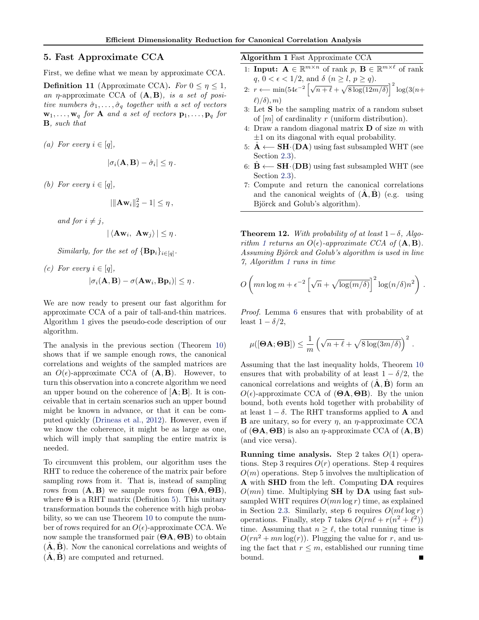# <span id="page-5-0"></span>5. Fast Approximate CCA

First, we define what we mean by approximate CCA.

**Definition 11** (Approximate CCA). For  $0 \le \eta \le 1$ , an  $\eta$ -approximate CCA of  $(A, B)$ , is a set of positive numbers  $\hat{\sigma}_1, \ldots, \hat{\sigma}_q$  together with a set of vectors  $\mathbf{w}_1, \ldots, \mathbf{w}_q$  for **A** and a set of vectors  $\mathbf{p}_1, \ldots, \mathbf{p}_q$  for B, such that

(a) For every  $i \in [q]$ ,

$$
|\sigma_i(\mathbf{A}, \mathbf{B}) - \hat{\sigma}_i| \leq \eta.
$$

(b) For every  $i \in [q]$ ,

$$
|\|\mathbf{A}\mathbf{w}_i\|_2^2-1|\leq \eta\,,
$$

and for  $i \neq j$ ,

$$
|\langle \mathbf{A} \mathbf{w}_i, \mathbf{A} \mathbf{w}_j \rangle| \leq \eta.
$$

Similarly, for the set of  $\{Bp_i\}_{i \in [q]}.$ 

(c) For every  $i \in [q]$ ,  $|\sigma_i(\mathbf{A}, \mathbf{B}) - \sigma(\mathbf{A}\mathbf{w}_i, \mathbf{B}\mathbf{p}_i)| \leq \eta$ .

We are now ready to present our fast algorithm for approximate CCA of a pair of tall-and-thin matrices. Algorithm 1 gives the pseudo-code description of our algorithm.

The analysis in the previous section (Theorem [10\)](#page-3-0) shows that if we sample enough rows, the canonical correlations and weights of the sampled matrices are an  $O(\epsilon)$ -approximate CCA of  $(\mathbf{A}, \mathbf{B})$ . However, to turn this observation into a concrete algorithm we need an upper bound on the coherence of  $[A; B]$ . It is conceivable that in certain scenarios such an upper bound might be known in advance, or that it can be computed quickly [\(Drineas et al.,](#page-8-0) [2012\)](#page-8-0). However, even if we know the coherence, it might be as large as one, which will imply that sampling the entire matrix is needed.

To circumvent this problem, our algorithm uses the RHT to reduce the coherence of the matrix pair before sampling rows from it. That is, instead of sampling rows from  $(A, B)$  we sample rows from  $(\Theta A, \Theta B)$ , where  $\Theta$  is a RHT matrix (Definition [5\)](#page-3-0). This unitary transformation bounds the coherence with high probability, so we can use Theorem [10](#page-3-0) to compute the number of rows required for an  $O(\epsilon)$ -approximate CCA. We now sample the transformed pair  $(\Theta A, \Theta B)$  to obtain  $(\hat{\mathbf{A}}, \hat{\mathbf{B}})$ . Now the canonical correlations and weights of  $(\hat{\mathbf{A}}, \hat{\mathbf{B}})$  are computed and returned.

Algorithm 1 Fast Approximate CCA

- 1: **Input:**  $\mathbf{A} \in \mathbb{R}^{m \times n}$  of rank  $p, \mathbf{B} \in \mathbb{R}^{m \times \ell}$  of rank  $q, \, 0<\epsilon<1/2,$  and  $\delta$   $(n\geq l, \, p\geq q).$
- 2:  $r \leftarrow \min(54\epsilon^{-2} \left[\sqrt{n+\ell} + \sqrt{8\log(12m/\delta)}\right]^2 \log(3(n+\epsilon))$  $\ell$ )/ $\delta$ ), m)
- 3: Let S be the sampling matrix of a random subset of  $[m]$  of cardinality r (uniform distribution).
- 4: Draw a random diagonal matrix  $\bf{D}$  of size m with  $\pm 1$  on its diagonal with equal probability.
- 5:  $\hat{A}$  ← SH⋅(DA) using fast subsampled WHT (see Section [2.3\)](#page-3-0).
- 6:  $\mathbf{B} \leftarrow \mathbf{SH} \cdot (\mathbf{DB})$  using fast subsampled WHT (see Section [2.3\)](#page-3-0).
- 7: Compute and return the canonical correlations and the canonical weights of  $(\hat{\mathbf{A}}, \hat{\mathbf{B}})$  (e.g. using Björck and Golub's algorithm).

**Theorem 12.** With probability of at least  $1-\delta$ , Algorithm 1 returns an  $O(\epsilon)$ -approximate CCA of  $(A, B)$ . Assuming Björck and Golub's algorithm is used in line 7, Algorithm 1 runs in time

$$
O\left(mn\log m + \epsilon^{-2}\left[\sqrt{n} + \sqrt{\log(m/\delta)}\right]^2 \log(n/\delta)n^2\right).
$$

Proof. Lemma [6](#page-3-0) ensures that with probability of at least  $1 - \delta/2$ ,

$$
\mu([\boldsymbol{\Theta}\mathbf{A};\boldsymbol{\Theta}\mathbf{B}]) \leq \frac{1}{m} \left(\sqrt{n+\ell} + \sqrt{8\log(3m/\delta)}\right)^2.
$$

Assuming that the last inequality holds, Theorem [10](#page-3-0) ensures that with probability of at least  $1 - \delta/2$ , the canonical correlations and weights of  $(\hat{\mathbf{A}}, \hat{\mathbf{B}})$  form an  $O(\epsilon)$ -approximate CCA of (**ΘA, ΘB**). By the union bound, both events hold together with probability of at least  $1 - \delta$ . The RHT transforms applied to **A** and **B** are unitary, so for every  $\eta$ , an  $\eta$ -approximate CCA of  $(\Theta A, \Theta B)$  is also an  $\eta$ -approximate CCA of  $(A, B)$ (and vice versa).

**Running time analysis.** Step 2 takes  $O(1)$  operations. Step 3 requires  $O(r)$  operations. Step 4 requires  $O(m)$  operations. Step 5 involves the multiplication of A with SHD from the left. Computing DA requires  $O(mn)$  time. Multiplying **SH** by **DA** using fast subsampled WHT requires  $O(mn \log r)$  time, as explained in Section [2.3.](#page-3-0) Similarly, step 6 requires  $O(m\ell \log r)$ operations. Finally, step 7 takes  $O(rn\ell + r(n^2 + \ell^2))$ time. Assuming that  $n \geq \ell$ , the total running time is  $O(rn^2 + mn \log(r))$ . Plugging the value for r, and using the fact that  $r \leq m$ , established our running time bound.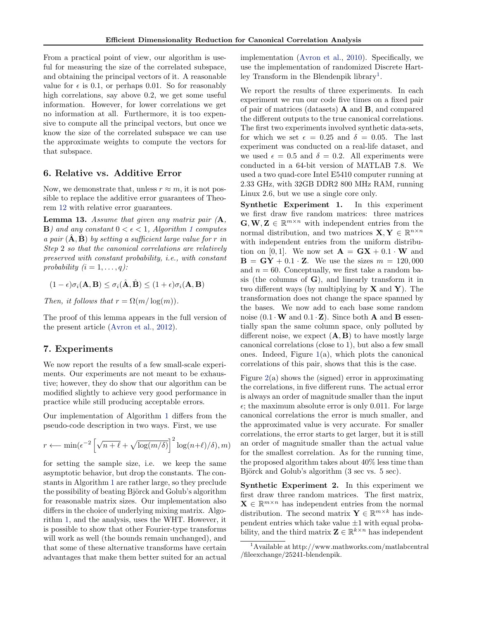From a practical point of view, our algorithm is useful for measuring the size of the correlated subspace, and obtaining the principal vectors of it. A reasonable value for  $\epsilon$  is 0.1, or perhaps 0.01. So for reasonably high correlations, say above 0.2, we get some useful information. However, for lower correlations we get no information at all. Furthermore, it is too expensive to compute all the principal vectors, but once we know the size of the correlated subspace we can use the approximate weights to compute the vectors for that subspace.

# 6. Relative vs. Additive Error

Now, we demonstrate that, unless  $r \approx m$ , it is not possible to replace the additive error guarantees of Theorem [12](#page-5-0) with relative error guarantees.

**Lemma 13.** Assume that given any matrix pair  $(A,$ **B**) and any constant  $0 < \epsilon < 1$  $0 < \epsilon < 1$ , Algorithm 1 computes a pair  $(A, B)$  by setting a sufficient large value for r in Step 2 so that the canonical correlations are relatively preserved with constant probability, i.e., with constant probability  $(i = 1, \ldots, q)$ :

$$
(1 - \epsilon)\sigma_i(\mathbf{A}, \mathbf{B}) \le \sigma_i(\hat{\mathbf{A}}, \hat{\mathbf{B}}) \le (1 + \epsilon)\sigma_i(\mathbf{A}, \mathbf{B})
$$

Then, it follows that  $r = \Omega(m/\log(m)).$ 

The proof of this lemma appears in the full version of the present article [\(Avron et al.,](#page-8-0) [2012\)](#page-8-0).

# 7. Experiments

We now report the results of a few small-scale experiments. Our experiments are not meant to be exhaustive; however, they do show that our algorithm can be modified slightly to achieve very good performance in practice while still producing acceptable errors.

Our implementation of Algorithm [1](#page-5-0) differs from the pseudo-code description in two ways. First, we use

$$
r \longleftarrow \min(\epsilon^{-2} \left[ \sqrt{n+\ell} + \sqrt{\log(m/\delta)} \right]^2 \log(n+\ell)/\delta), m)
$$

for setting the sample size, i.e. we keep the same asymptotic behavior, but drop the constants. The constants in Algorithm [1](#page-5-0) are rather large, so they preclude the possibility of beating Björck and Golub's algorithm for reasonable matrix sizes. Our implementation also differs in the choice of underlying mixing matrix. Algorithm [1,](#page-5-0) and the analysis, uses the WHT. However, it is possible to show that other Fourier-type transforms will work as well (the bounds remain unchanged), and that some of these alternative transforms have certain advantages that make them better suited for an actual

implementation [\(Avron et al.,](#page-8-0) [2010\)](#page-8-0). Specifically, we use the implementation of randomized Discrete Hartley Transform in the Blendenpik library<sup>1</sup>.

We report the results of three experiments. In each experiment we run our code five times on a fixed pair of pair of matrices (datasets)  $\bf{A}$  and  $\bf{B}$ , and compared the different outputs to the true canonical correlations. The first two experiments involved synthetic data-sets, for which we set  $\epsilon = 0.25$  and  $\delta = 0.05$ . The last experiment was conducted on a real-life dataset, and we used  $\epsilon = 0.5$  and  $\delta = 0.2$ . All experiments were conducted in a 64-bit version of MATLAB 7.8. We used a two quad-core Intel E5410 computer running at 2.33 GHz, with 32GB DDR2 800 MHz RAM, running Linux 2.6, but we use a single core only.

Synthetic Experiment 1. In this experiment we first draw five random matrices: three matrices  $\mathbf{G}, \mathbf{W}, \mathbf{Z} \in \mathbb{R}^{m \times n}$  with independent entries from the normal distribution, and two matrices  $\mathbf{X}, \mathbf{Y} \in \mathbb{R}^{n \times n}$ with independent entries from the uniform distribution on [0, 1]. We now set  $\mathbf{A} = \mathbf{G}\mathbf{X} + 0.1 \cdot \mathbf{W}$  and  $\mathbf{B} = \mathbf{G}\mathbf{Y} + 0.1 \cdot \mathbf{Z}$ . We use the sizes  $m = 120,000$ and  $n = 60$ . Conceptually, we first take a random basis (the columns of  $G$ ), and linearly transform it in two different ways (by multiplying by  $X$  and  $Y$ ). The transformation does not change the space spanned by the bases. We now add to each base some random noise  $(0.1 \cdot W$  and  $0.1 \cdot Z)$ . Since both **A** and **B** essentially span the same column space, only polluted by different noise, we expect  $(A, B)$  to have mostly large canonical correlations (close to 1), but also a few small ones. Indeed, Figure  $1(a)$  $1(a)$ , which plots the canonical correlations of this pair, shows that this is the case.

Figure  $2(a)$  $2(a)$  shows the (signed) error in approximating the correlations, in five different runs. The actual error is always an order of magnitude smaller than the input  $\epsilon$ ; the maximum absolute error is only 0.011. For large canonical correlations the error is much smaller, and the approximated value is very accurate. For smaller correlations, the error starts to get larger, but it is still an order of magnitude smaller than the actual value for the smallest correlation. As for the running time, the proposed algorithm takes about 40% less time than Björck and Golub's algorithm (3 sec vs. 5 sec).

Synthetic Experiment 2. In this experiment we first draw three random matrices. The first matrix,  $\mathbf{X} \in \mathbb{R}^{m \times n}$  has independent entries from the normal distribution. The second matrix  $\mathbf{Y} \in \mathbb{R}^{m \times k}$  has independent entries which take value  $\pm 1$  with equal probability, and the third matrix  $\mathbf{Z} \in \mathbb{R}^{k \times n}$  has independent

<sup>1</sup>Available at http://www.mathworks.com/matlabcentral /fileexchange/25241-blendenpik.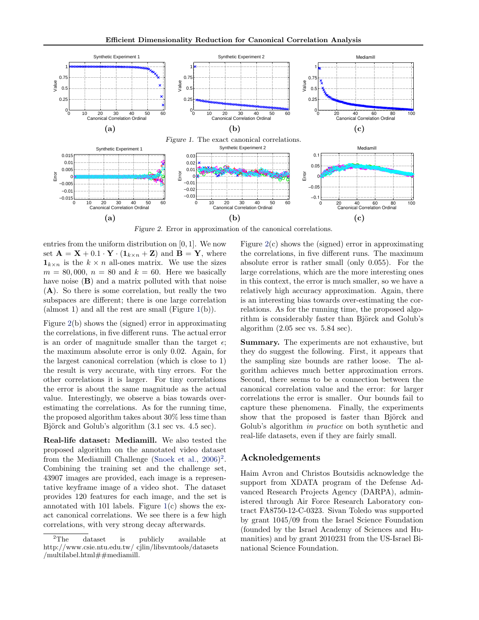<span id="page-7-0"></span>

Figure 2. Error in approximation of the canonical correlations.

entries from the uniform distribution on  $[0, 1]$ . We now set  $\mathbf{A} = \mathbf{X} + 0.1 \cdot \mathbf{Y} \cdot (\mathbf{1}_{k \times n} + \mathbf{Z})$  and  $\mathbf{B} = \mathbf{Y}$ , where  $\mathbf{1}_{k\times n}$  is the  $k\times n$  all-ones matrix. We use the sizes  $m = 80,000, n = 80$  and  $k = 60$ . Here we basically have noise  $(B)$  and a matrix polluted with that noise (A). So there is some correlation, but really the two subspaces are different; there is one large correlation (almost 1) and all the rest are small (Figure 1(b)).

Figure 2(b) shows the (signed) error in approximating the correlations, in five different runs. The actual error is an order of magnitude smaller than the target  $\epsilon$ ; the maximum absolute error is only 0.02. Again, for the largest canonical correlation (which is close to 1) the result is very accurate, with tiny errors. For the other correlations it is larger. For tiny correlations the error is about the same magnitude as the actual value. Interestingly, we observe a bias towards overestimating the correlations. As for the running time, the proposed algorithm takes about 30% less time than Björck and Golub's algorithm (3.1 sec vs. 4.5 sec).

Real-life dataset: Mediamill. We also tested the proposed algorithm on the annotated video dataset from the Mediamill Challenge [\(Snoek et al.,](#page-8-0) [2006\)](#page-8-0)<sup>2</sup>. Combining the training set and the challenge set, 43907 images are provided, each image is a representative keyframe image of a video shot. The dataset provides 120 features for each image, and the set is annotated with 101 labels. Figure  $1(c)$  shows the exact canonical correlations. We see there is a few high correlations, with very strong decay afterwards.

Figure 2(c) shows the (signed) error in approximating the correlations, in five different runs. The maximum absolute error is rather small (only 0.055). For the large correlations, which are the more interesting ones in this context, the error is much smaller, so we have a relatively high accuracy approximation. Again, there is an interesting bias towards over-estimating the correlations. As for the running time, the proposed algorithm is considerably faster than Björck and Golub's algorithm  $(2.05 \text{ sec vs. } 5.84 \text{ sec}).$ 

Summary. The experiments are not exhaustive, but they do suggest the following. First, it appears that the sampling size bounds are rather loose. The algorithm achieves much better approximation errors. Second, there seems to be a connection between the canonical correlation value and the error: for larger correlations the error is smaller. Our bounds fail to capture these phenomena. Finally, the experiments show that the proposed is faster than Björck and Golub's algorithm in practice on both synthetic and real-life datasets, even if they are fairly small.

# Acknoledgements

Haim Avron and Christos Boutsidis acknowledge the support from XDATA program of the Defense Advanced Research Projects Agency (DARPA), administered through Air Force Research Laboratory contract FA8750-12-C-0323. Sivan Toledo was supported by grant 1045/09 from the Israel Science Foundation (founded by the Israel Academy of Sciences and Humanities) and by grant 2010231 from the US-Israel Binational Science Foundation.

<sup>&</sup>lt;sup>2</sup>The dataset is publicly available at http://www.csie.ntu.edu.tw/ cjlin/libsvmtools/datasets /multilabel.html $\#$ #mediamill.